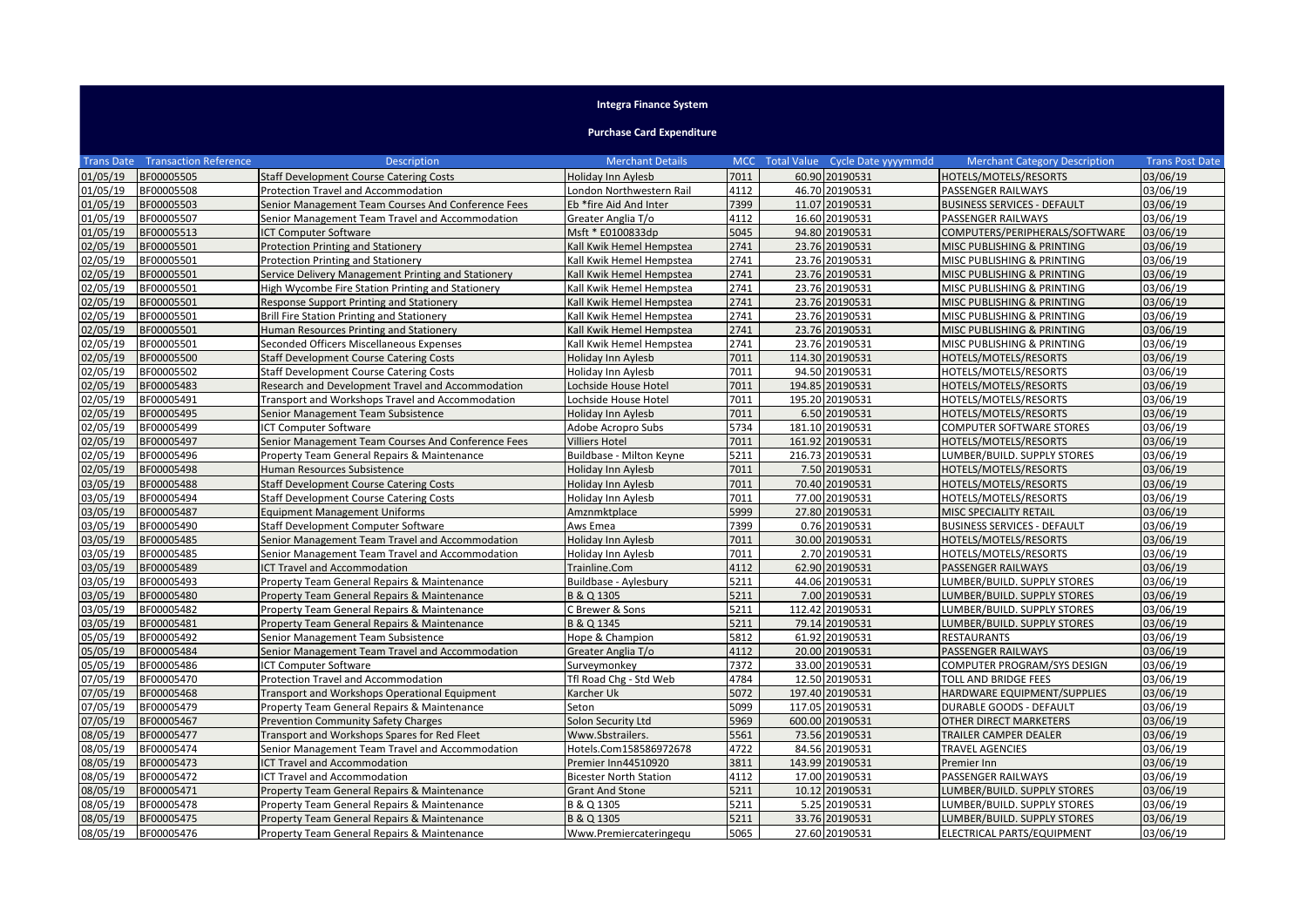## **Integra Finance System**

## **Purchase Card Expenditure**

|          | <b>Trans Date Transaction Reference</b> | <b>Description</b>                                  | <b>Merchant Details</b>       |      | MCC Total Value Cycle Date yyyymmdd | <b>Merchant Category Description</b> | <b>Trans Post Date</b> |
|----------|-----------------------------------------|-----------------------------------------------------|-------------------------------|------|-------------------------------------|--------------------------------------|------------------------|
| 01/05/19 | BF00005505                              | <b>Staff Development Course Catering Costs</b>      | Holiday Inn Aylesb            | 7011 | 60.90 20190531                      | HOTELS/MOTELS/RESORTS                | 03/06/19               |
| 01/05/19 | BF00005508                              | Protection Travel and Accommodation                 | London Northwestern Rail      | 4112 | 46.70 20190531                      | <b>PASSENGER RAILWAYS</b>            | 03/06/19               |
| 01/05/19 | BF00005503                              | Senior Management Team Courses And Conference Fees  | Eb *fire Aid And Inter        | 7399 | 11.07 20190531                      | <b>BUSINESS SERVICES - DEFAULT</b>   | 03/06/19               |
| 01/05/19 | BF00005507                              | Senior Management Team Travel and Accommodation     | Greater Anglia T/o            | 4112 | 16.60 20190531                      | PASSENGER RAILWAYS                   | 03/06/19               |
| 01/05/19 | BF00005513                              | <b>CT Computer Software</b>                         | Msft * E0100833dp             | 5045 | 94.80 20190531                      | COMPUTERS/PERIPHERALS/SOFTWARE       | 03/06/19               |
| 02/05/19 | BF00005501                              | <b>Protection Printing and Stationery</b>           | Kall Kwik Hemel Hempstea      | 2741 | 23.76 20190531                      | MISC PUBLISHING & PRINTING           | 03/06/19               |
| 02/05/19 | BF00005501                              | <b>Protection Printing and Stationery</b>           | Kall Kwik Hemel Hempstea      | 2741 | 23.76 20190531                      | MISC PUBLISHING & PRINTING           | 03/06/19               |
| 02/05/19 | BF00005501                              | Service Delivery Management Printing and Stationery | Kall Kwik Hemel Hempstea      | 2741 | 23.76 20190531                      | MISC PUBLISHING & PRINTING           | 03/06/19               |
| 02/05/19 | BF00005501                              | High Wycombe Fire Station Printing and Stationery   | Kall Kwik Hemel Hempstea      | 2741 | 23.76 20190531                      | MISC PUBLISHING & PRINTING           | 03/06/19               |
| 02/05/19 | BF00005501                              | Response Support Printing and Stationery            | Kall Kwik Hemel Hempstea      | 2741 | 23.76 20190531                      | MISC PUBLISHING & PRINTING           | 03/06/19               |
| 02/05/19 | BF00005501                              | Brill Fire Station Printing and Stationery          | Kall Kwik Hemel Hempstea      | 2741 | 23.76 20190531                      | MISC PUBLISHING & PRINTING           | 03/06/19               |
| 02/05/19 | BF00005501                              | Human Resources Printing and Stationery             | Kall Kwik Hemel Hempstea      | 2741 | 23.76 20190531                      | MISC PUBLISHING & PRINTING           | 03/06/19               |
| 02/05/19 | BF00005501                              | Seconded Officers Miscellaneous Expenses            | Kall Kwik Hemel Hempstea      | 2741 | 23.76 20190531                      | MISC PUBLISHING & PRINTING           | 03/06/19               |
| 02/05/19 | BF00005500                              | <b>Staff Development Course Catering Costs</b>      | Holiday Inn Aylesb            | 7011 | 114.30 20190531                     | HOTELS/MOTELS/RESORTS                | 03/06/19               |
| 02/05/19 | BF00005502                              | <b>Staff Development Course Catering Costs</b>      | Holiday Inn Aylesb            | 7011 | 94.50 20190531                      | HOTELS/MOTELS/RESORTS                | 03/06/19               |
| 02/05/19 | BF00005483                              | Research and Development Travel and Accommodation   | Lochside House Hotel          | 7011 | 194.85 20190531                     | HOTELS/MOTELS/RESORTS                | 03/06/19               |
| 02/05/19 | BF00005491                              | Transport and Workshops Travel and Accommodation    | Lochside House Hotel          | 7011 | 195.20 20190531                     | HOTELS/MOTELS/RESORTS                | 03/06/19               |
| 02/05/19 | BF00005495                              | Senior Management Team Subsistence                  | <b>Holiday Inn Aylesb</b>     | 7011 | 6.50 20190531                       | HOTELS/MOTELS/RESORTS                | 03/06/19               |
| 02/05/19 | BF00005499                              | ICT Computer Software                               | Adobe Acropro Subs            | 5734 | 181.10 20190531                     | <b>COMPUTER SOFTWARE STORES</b>      | 03/06/19               |
| 02/05/19 | BF00005497                              | Senior Management Team Courses And Conference Fees  | <b>Villiers Hotel</b>         | 7011 | 161.92 20190531                     | HOTELS/MOTELS/RESORTS                | 03/06/19               |
| 02/05/19 | BF00005496                              | Property Team General Repairs & Maintenance         | Buildbase - Milton Keyne      | 5211 | 216.73 20190531                     | LUMBER/BUILD. SUPPLY STORES          | 03/06/19               |
| 02/05/19 | BF00005498                              | Human Resources Subsistence                         | Holiday Inn Aylesb            | 7011 | 7.50 20190531                       | HOTELS/MOTELS/RESORTS                | 03/06/19               |
| 03/05/19 | BF00005488                              | <b>Staff Development Course Catering Costs</b>      | Holiday Inn Aylesb            | 7011 | 70.40 20190531                      | HOTELS/MOTELS/RESORTS                | 03/06/19               |
| 03/05/19 | BF00005494                              | <b>Staff Development Course Catering Costs</b>      | Holiday Inn Aylesb            | 7011 | 77.00 20190531                      | HOTELS/MOTELS/RESORTS                | 03/06/19               |
| 03/05/19 | BF00005487                              | <b>Equipment Management Uniforms</b>                | Amznmktplace                  | 5999 | 27.80 20190531                      | MISC SPECIALITY RETAIL               | 03/06/19               |
| 03/05/19 | BF00005490                              | Staff Development Computer Software                 | Aws Emea                      | 7399 | 0.76 20190531                       | <b>BUSINESS SERVICES - DEFAULT</b>   | 03/06/19               |
| 03/05/19 | BF00005485                              | Senior Management Team Travel and Accommodation     | Holiday Inn Aylesb            | 7011 | 30.00 20190531                      | HOTELS/MOTELS/RESORTS                | 03/06/19               |
| 03/05/19 | BF00005485                              | Senior Management Team Travel and Accommodation     | Holiday Inn Aylesb            | 7011 | 2.70 20190531                       | HOTELS/MOTELS/RESORTS                | 03/06/19               |
| 03/05/19 | BF00005489                              | CT Travel and Accommodation                         | Trainline.Com                 | 4112 | 62.90 20190531                      | PASSENGER RAILWAYS                   | 03/06/19               |
| 03/05/19 | BF00005493                              | Property Team General Repairs & Maintenance         | Buildbase - Aylesbury         | 5211 | 44.06 20190531                      | LUMBER/BUILD. SUPPLY STORES          | 03/06/19               |
| 03/05/19 | BF00005480                              | Property Team General Repairs & Maintenance         | B & Q 1305                    | 5211 | 7.00 20190531                       | LUMBER/BUILD. SUPPLY STORES          | 03/06/19               |
| 03/05/19 | BF00005482                              | Property Team General Repairs & Maintenance         | C Brewer & Sons               | 5211 | 112.42 20190531                     | LUMBER/BUILD. SUPPLY STORES          | 03/06/19               |
| 03/05/19 | BF00005481                              | Property Team General Repairs & Maintenance         | B & Q 1345                    | 5211 | 79.14 20190531                      | LUMBER/BUILD. SUPPLY STORES          | 03/06/19               |
| 05/05/19 | BF00005492                              | Senior Management Team Subsistence                  | Hope & Champion               | 5812 | 61.92 20190531                      | <b>RESTAURANTS</b>                   | 03/06/19               |
| 05/05/19 | BF00005484                              | Senior Management Team Travel and Accommodation     | Greater Anglia T/o            | 4112 | 20.00 20190531                      | <b>PASSENGER RAILWAYS</b>            | 03/06/19               |
| 05/05/19 | BF00005486                              | <b>CT Computer Software</b>                         | Surveymonkey                  | 7372 | 33.00 20190531                      | COMPUTER PROGRAM/SYS DESIGN          | 03/06/19               |
| 07/05/19 | BF00005470                              | Protection Travel and Accommodation                 | Tfl Road Chg - Std Web        | 4784 | 12.50 20190531                      | <b>TOLL AND BRIDGE FEES</b>          | 03/06/19               |
| 07/05/19 | BF00005468                              | Transport and Workshops Operational Equipment       | Karcher Uk                    | 5072 | 197.40 20190531                     | HARDWARE EQUIPMENT/SUPPLIES          | 03/06/19               |
| 07/05/19 | BF00005479                              | Property Team General Repairs & Maintenance         | Seton                         | 5099 | 117.05 20190531                     | <b>DURABLE GOODS - DEFAULT</b>       | 03/06/19               |
| 07/05/19 | BF00005467                              | <b>Prevention Community Safety Charges</b>          | Solon Security Ltd            | 5969 | 600.00 20190531                     | <b>OTHER DIRECT MARKETERS</b>        | 03/06/19               |
| 08/05/19 | BF00005477                              | Transport and Workshops Spares for Red Fleet        | Www.Sbstrailers.              | 5561 | 73.56 20190531                      | TRAILER CAMPER DEALER                | 03/06/19               |
| 08/05/19 | BF00005474                              | Senior Management Team Travel and Accommodation     | Hotels.Com158586972678        | 4722 | 84.56 20190531                      | TRAVEL AGENCIES                      | 03/06/19               |
| 08/05/19 | BF00005473                              | <b>CT Travel and Accommodation</b>                  | Premier Inn44510920           | 3811 | 143.99 20190531                     | Premier Inn                          | 03/06/19               |
| 08/05/19 | BF00005472                              | <b>CT Travel and Accommodation</b>                  | <b>Bicester North Station</b> | 4112 | 17.00 20190531                      | PASSENGER RAILWAYS                   | 03/06/19               |
| 08/05/19 | BF00005471                              | Property Team General Repairs & Maintenance         | <b>Grant And Stone</b>        | 5211 | 10.12 20190531                      | LUMBER/BUILD. SUPPLY STORES          | 03/06/19               |
| 08/05/19 | BF00005478                              | Property Team General Repairs & Maintenance         | B & Q 1305                    | 5211 | 5.25 20190531                       | LUMBER/BUILD. SUPPLY STORES          | 03/06/19               |
| 08/05/19 | BF00005475                              | Property Team General Repairs & Maintenance         | B & Q 1305                    | 5211 | 33.76 20190531                      | LUMBER/BUILD. SUPPLY STORES          | 03/06/19               |
| 08/05/19 | BF00005476                              | Property Team General Repairs & Maintenance         | Www.Premiercateringequ        | 5065 | 27.60 20190531                      | ELECTRICAL PARTS/EQUIPMENT           | 03/06/19               |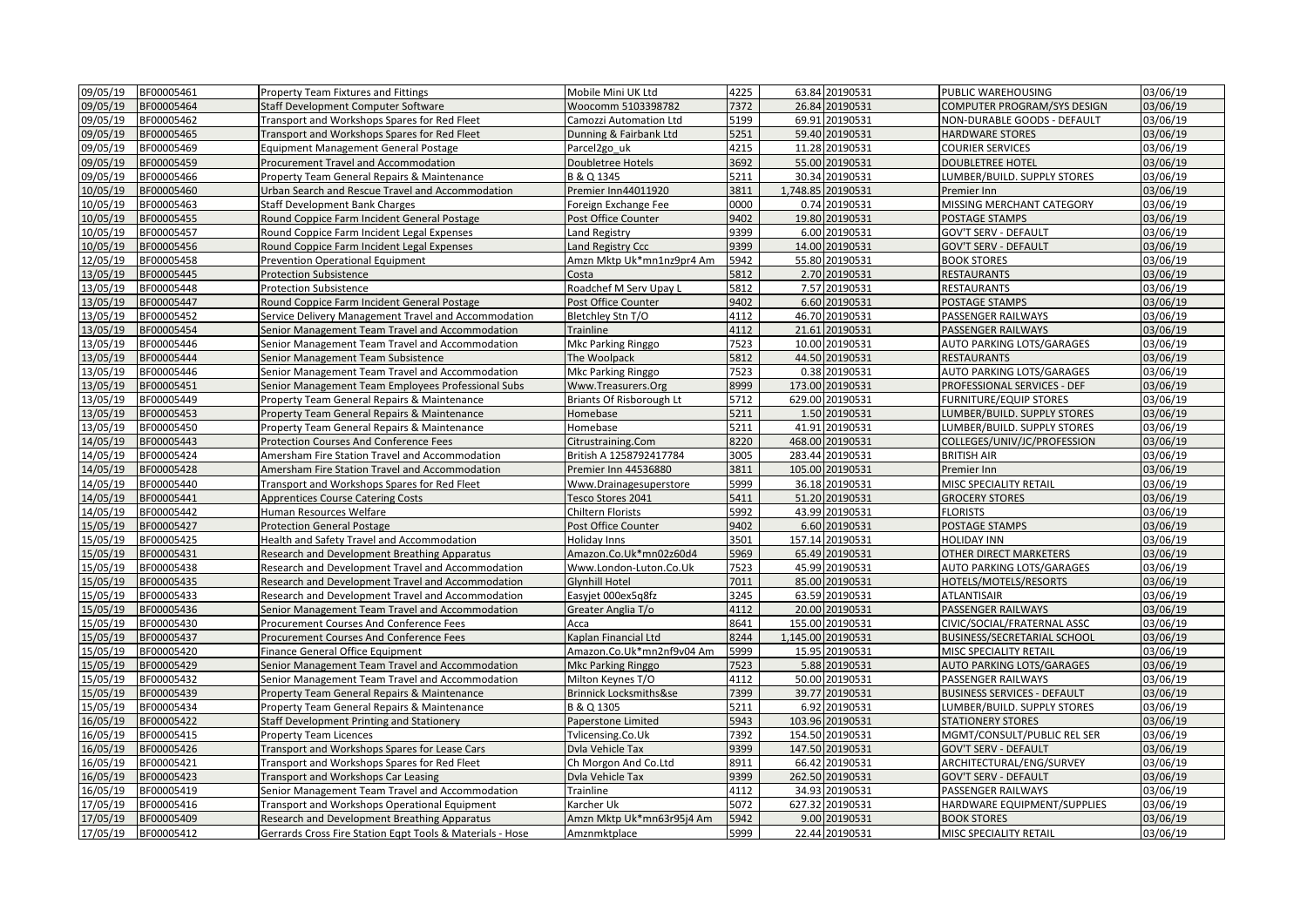| 09/05/19 | BF00005461 | <b>Property Team Fixtures and Fittings</b>                | Mobile Mini UK Ltd        | 4225 |       | 63.84 20190531    | PUBLIC WAREHOUSING                 | 03/06/19 |
|----------|------------|-----------------------------------------------------------|---------------------------|------|-------|-------------------|------------------------------------|----------|
| 09/05/19 | BF00005464 | Staff Development Computer Software                       | Woocomm 5103398782        | 7372 |       | 26.84 20190531    | COMPUTER PROGRAM/SYS DESIGN        | 03/06/19 |
| 09/05/19 | BF00005462 | Transport and Workshops Spares for Red Fleet              | Camozzi Automation Ltd    | 5199 |       | 69.91 20190531    | NON-DURABLE GOODS - DEFAULT        | 03/06/19 |
| 09/05/19 | BF00005465 | Transport and Workshops Spares for Red Fleet              | Dunning & Fairbank Ltd    | 5251 |       | 59.40 20190531    | HARDWARE STORES                    | 03/06/19 |
| 09/05/19 | BF00005469 | <b>Equipment Management General Postage</b>               | Parcel <sub>2gouk</sub>   | 4215 |       | 11.28 20190531    | <b>COURIER SERVICES</b>            | 03/06/19 |
| 09/05/19 | BF00005459 | Procurement Travel and Accommodation                      | Doubletree Hotels         | 3692 |       | 55.00 20190531    | <b>DOUBLETREE HOTEL</b>            | 03/06/19 |
| 09/05/19 | BF00005466 | Property Team General Repairs & Maintenance               | B & Q 1345                | 5211 |       | 30.34 20190531    | LUMBER/BUILD. SUPPLY STORES        | 03/06/19 |
| 10/05/19 | BF00005460 | Urban Search and Rescue Travel and Accommodation          | Premier Inn44011920       | 3811 |       | 1,748.85 20190531 | Premier Inn                        | 03/06/19 |
| 10/05/19 | BF00005463 | <b>Staff Development Bank Charges</b>                     | Foreign Exchange Fee      | 0000 |       | 0.74 20190531     | MISSING MERCHANT CATEGORY          | 03/06/19 |
| 10/05/19 | BF00005455 | Round Coppice Farm Incident General Postage               | Post Office Counter       | 9402 |       | 19.80 20190531    | POSTAGE STAMPS                     | 03/06/19 |
| 10/05/19 | BF00005457 | Round Coppice Farm Incident Legal Expenses                | Land Registry             | 9399 |       | 6.00 20190531     | GOV'T SERV - DEFAULT               | 03/06/19 |
| 10/05/19 | BF00005456 | Round Coppice Farm Incident Legal Expenses                | Land Registry Ccc         | 9399 |       | 14.00 20190531    | GOV'T SERV - DEFAULT               | 03/06/19 |
| 12/05/19 | BF00005458 | <b>Prevention Operational Equipment</b>                   | Amzn Mktp Uk*mn1nz9pr4 Am | 5942 |       | 55.80 20190531    | <b>BOOK STORES</b>                 | 03/06/19 |
| 13/05/19 | BF00005445 | <b>Protection Subsistence</b>                             | Costa                     | 5812 |       | 2.70 20190531     | <b>RESTAURANTS</b>                 | 03/06/19 |
| 13/05/19 | BF00005448 | <b>Protection Subsistence</b>                             | Roadchef M Serv Upay L    | 5812 |       | 7.57 20190531     | RESTAURANTS                        | 03/06/19 |
| 13/05/19 | BF00005447 | Round Coppice Farm Incident General Postage               | Post Office Counter       | 9402 |       | 6.60 20190531     | POSTAGE STAMPS                     | 03/06/19 |
| 13/05/19 | BF00005452 | Service Delivery Management Travel and Accommodation      | Bletchley Stn T/O         | 4112 |       | 46.70 20190531    | PASSENGER RAILWAYS                 | 03/06/19 |
| 13/05/19 | BF00005454 | Senior Management Team Travel and Accommodation           | Trainline                 | 4112 |       | 21.61 20190531    | PASSENGER RAILWAYS                 | 03/06/19 |
| 13/05/19 | BF00005446 | Senior Management Team Travel and Accommodation           | <b>Mkc Parking Ringgo</b> | 7523 |       | 10.00 20190531    | AUTO PARKING LOTS/GARAGES          | 03/06/19 |
| 13/05/19 | BF00005444 | Senior Management Team Subsistence                        | The Woolpack              | 5812 |       | 44.50 20190531    | <b>RESTAURANTS</b>                 | 03/06/19 |
| 13/05/19 | BF00005446 | Senior Management Team Travel and Accommodation           | Mkc Parking Ringgo        | 7523 |       | 0.38 20190531     | AUTO PARKING LOTS/GARAGES          | 03/06/19 |
| 13/05/19 | BF00005451 | Senior Management Team Employees Professional Subs        | Www.Treasurers.Org        | 8999 |       | 173.00 20190531   | PROFESSIONAL SERVICES - DEF        | 03/06/19 |
| 13/05/19 | BF00005449 | Property Team General Repairs & Maintenance               | Briants Of Risborough Lt  | 5712 |       | 629.00 20190531   | <b>FURNITURE/EQUIP STORES</b>      | 03/06/19 |
| 13/05/19 | BF00005453 | Property Team General Repairs & Maintenance               | Homebase                  | 5211 |       | 1.50 20190531     | LUMBER/BUILD. SUPPLY STORES        | 03/06/19 |
| 13/05/19 | BF00005450 | Property Team General Repairs & Maintenance               | Homebase                  | 5211 |       | 41.91 20190531    | LUMBER/BUILD. SUPPLY STORES        | 03/06/19 |
| 14/05/19 | BF00005443 | <b>Protection Courses And Conference Fees</b>             | Citrustraining.Com        | 8220 |       | 468.00 20190531   | COLLEGES/UNIV/JC/PROFESSION        | 03/06/19 |
| 14/05/19 | BF00005424 | Amersham Fire Station Travel and Accommodation            | British A 1258792417784   | 3005 |       | 283.44 20190531   | <b>BRITISH AIR</b>                 | 03/06/19 |
| 14/05/19 | BF00005428 | Amersham Fire Station Travel and Accommodation            | Premier Inn 44536880      | 3811 |       | 105.00 20190531   | Premier Inn                        | 03/06/19 |
| 14/05/19 | BF00005440 | Transport and Workshops Spares for Red Fleet              | Www.Drainagesuperstore    | 5999 |       | 36.18 20190531    | MISC SPECIALITY RETAIL             | 03/06/19 |
| 14/05/19 | BF00005441 | <b>Apprentices Course Catering Costs</b>                  | Tesco Stores 2041         | 5411 |       | 51.20 20190531    | <b>GROCERY STORES</b>              | 03/06/19 |
| 14/05/19 | BF00005442 | Human Resources Welfare                                   | Chiltern Florists         | 5992 |       | 43.99 20190531    | <b>FLORISTS</b>                    | 03/06/19 |
| 15/05/19 | BF00005427 | <b>Protection General Postage</b>                         | Post Office Counter       | 9402 |       | 6.60 20190531     | POSTAGE STAMPS                     | 03/06/19 |
| 15/05/19 | BF00005425 | Health and Safety Travel and Accommodation                | Holiday Inns              | 3501 |       | 157.14 20190531   | <b>HOLIDAY INN</b>                 | 03/06/19 |
| 15/05/19 | BF00005431 | Research and Development Breathing Apparatus              | Amazon.Co.Uk*mn02z60d4    | 5969 |       | 65.49 20190531    | OTHER DIRECT MARKETERS             | 03/06/19 |
| 15/05/19 | BF00005438 | Research and Development Travel and Accommodation         | Www.London-Luton.Co.Uk    | 7523 |       | 45.99 20190531    | AUTO PARKING LOTS/GARAGES          | 03/06/19 |
| 15/05/19 | BF00005435 | Research and Development Travel and Accommodation         | <b>Glynhill Hotel</b>     | 7011 |       | 85.00 20190531    | HOTELS/MOTELS/RESORTS              | 03/06/19 |
| 15/05/19 | BF00005433 | Research and Development Travel and Accommodation         | Easyjet 000ex5g8fz        | 3245 |       | 63.59 20190531    | <b>ATLANTISAIR</b>                 | 03/06/19 |
| 15/05/19 | BF00005436 | Senior Management Team Travel and Accommodation           | Greater Anglia T/o        | 4112 |       | 20.00 20190531    | PASSENGER RAILWAYS                 | 03/06/19 |
| 15/05/19 | BF00005430 | Procurement Courses And Conference Fees                   | Acca                      | 8641 |       | 155.00 20190531   | CIVIC/SOCIAL/FRATERNAL ASSC        | 03/06/19 |
| 15/05/19 | BF00005437 | Procurement Courses And Conference Fees                   | Kaplan Financial Ltd      | 8244 |       | 1,145.00 20190531 | <b>BUSINESS/SECRETARIAL SCHOOL</b> | 03/06/19 |
| 15/05/19 | BF00005420 | Finance General Office Equipment                          | Amazon.Co.Uk*mn2nf9v04 Am | 5999 |       | 15.95 20190531    | MISC SPECIALITY RETAIL             | 03/06/19 |
| 15/05/19 | BF00005429 | Senior Management Team Travel and Accommodation           | Mkc Parking Ringgo        | 7523 |       | 5.88 20190531     | AUTO PARKING LOTS/GARAGES          | 03/06/19 |
| 15/05/19 | BF00005432 | Senior Management Team Travel and Accommodation           | Milton Keynes T/O         | 4112 |       | 50.00 20190531    | PASSENGER RAILWAYS                 | 03/06/19 |
| 15/05/19 | BF00005439 | Property Team General Repairs & Maintenance               | Brinnick Locksmiths&se    | 7399 |       | 39.77 20190531    | <b>BUSINESS SERVICES - DEFAULT</b> | 03/06/19 |
| 15/05/19 | BF00005434 | Property Team General Repairs & Maintenance               | B & Q 1305                | 5211 |       | 6.92 20190531     | LUMBER/BUILD. SUPPLY STORES        | 03/06/19 |
| 16/05/19 | BF00005422 | Staff Development Printing and Stationery                 | Paperstone Limited        | 5943 |       | 103.96 20190531   | <b>STATIONERY STORES</b>           | 03/06/19 |
| 16/05/19 | BF00005415 | <b>Property Team Licences</b>                             | Tvlicensing.Co.Uk         | 7392 |       | 154.50 20190531   | MGMT/CONSULT/PUBLIC REL SER        | 03/06/19 |
| 16/05/19 | BF00005426 | Transport and Workshops Spares for Lease Cars             | Dvla Vehicle Tax          | 9399 |       | 147.50 20190531   | <b>GOV'T SERV - DEFAULT</b>        | 03/06/19 |
| 16/05/19 | BF00005421 | Transport and Workshops Spares for Red Fleet              | Ch Morgon And Co.Ltd      | 8911 | 66.42 | 20190531          | ARCHITECTURAL/ENG/SURVEY           | 03/06/19 |
| 16/05/19 | BF00005423 | Transport and Workshops Car Leasing                       | Dvla Vehicle Tax          | 9399 |       | 262.50 20190531   | <b>GOV'T SERV - DEFAULT</b>        | 03/06/19 |
| 16/05/19 | BF00005419 | Senior Management Team Travel and Accommodation           | Trainline                 | 4112 |       | 34.93 20190531    | PASSENGER RAILWAYS                 | 03/06/19 |
| 17/05/19 | BF00005416 | Transport and Workshops Operational Equipment             | Karcher Uk                | 5072 |       | 627.32 20190531   | HARDWARE EQUIPMENT/SUPPLIES        | 03/06/19 |
| 17/05/19 | BF00005409 | Research and Development Breathing Apparatus              | Amzn Mktp Uk*mn63r95j4 Am | 5942 |       | 9.00 20190531     | <b>BOOK STORES</b>                 | 03/06/19 |
| 17/05/19 | BF00005412 | Gerrards Cross Fire Station Eqpt Tools & Materials - Hose | Amznmktplace              | 5999 |       | 22.44 20190531    | MISC SPECIALITY RETAIL             | 03/06/19 |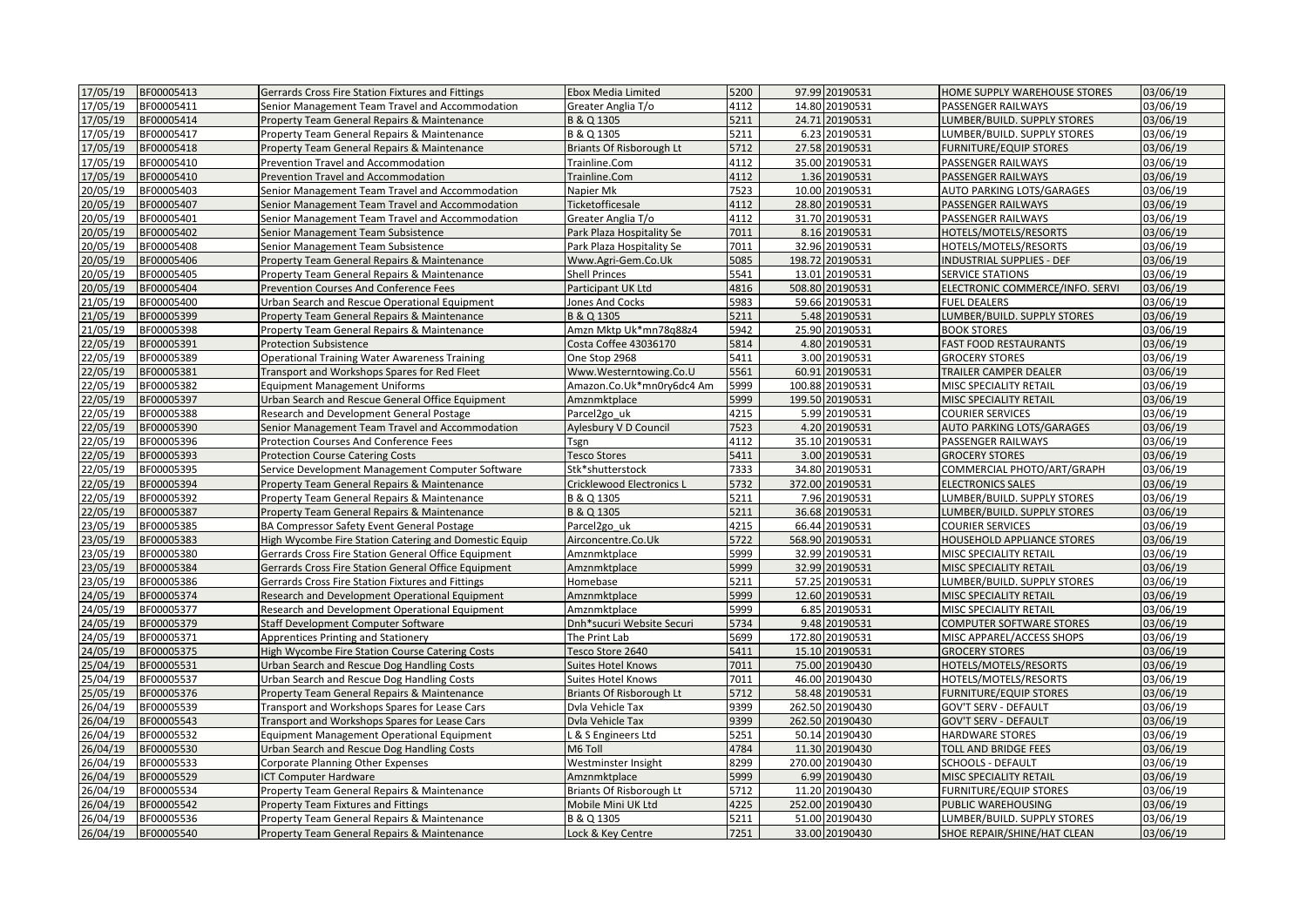| 17/05/19 | BF00005413 | Gerrards Cross Fire Station Fixtures and Fittings     | Ebox Media Limited              | 5200 | 97.99 20190531  | HOME SUPPLY WAREHOUSE STORES     | 03/06/19 |
|----------|------------|-------------------------------------------------------|---------------------------------|------|-----------------|----------------------------------|----------|
| 17/05/19 | BF00005411 | Senior Management Team Travel and Accommodation       | Greater Anglia T/o              | 4112 | 14.80 20190531  | PASSENGER RAILWAYS               | 03/06/19 |
| 17/05/19 | BF00005414 | Property Team General Repairs & Maintenance           | B & Q 1305                      | 5211 | 24.71 20190531  | LUMBER/BUILD. SUPPLY STORES      | 03/06/19 |
| 17/05/19 | BF00005417 | Property Team General Repairs & Maintenance           | B & Q 1305                      | 5211 | 6.23 20190531   | LUMBER/BUILD. SUPPLY STORES      | 03/06/19 |
| 17/05/19 | BF00005418 | Property Team General Repairs & Maintenance           | Briants Of Risborough Lt        | 5712 | 27.58 20190531  | <b>FURNITURE/EQUIP STORES</b>    | 03/06/19 |
| 17/05/19 | BF00005410 | Prevention Travel and Accommodation                   | Trainline.Com                   | 4112 | 35.00 20190531  | PASSENGER RAILWAYS               | 03/06/19 |
| 17/05/19 | BF00005410 | Prevention Travel and Accommodation                   | Trainline.Com                   | 4112 | 1.36 20190531   | PASSENGER RAILWAYS               | 03/06/19 |
| 20/05/19 | BF00005403 | Senior Management Team Travel and Accommodation       | Napier Mk                       | 7523 | 10.00 20190531  | AUTO PARKING LOTS/GARAGES        | 03/06/19 |
| 20/05/19 | BF00005407 | Senior Management Team Travel and Accommodation       | Ticketofficesale                | 4112 | 28.80 20190531  | PASSENGER RAILWAYS               | 03/06/19 |
| 20/05/19 | BF00005401 | Senior Management Team Travel and Accommodation       | Greater Anglia T/o              | 4112 | 31.70 20190531  | PASSENGER RAILWAYS               | 03/06/19 |
| 20/05/19 | BF00005402 | Senior Management Team Subsistence                    | Park Plaza Hospitality Se       | 7011 | 8.16 20190531   | HOTELS/MOTELS/RESORTS            | 03/06/19 |
| 20/05/19 | BF00005408 | Senior Management Team Subsistence                    | Park Plaza Hospitality Se       | 7011 | 32.96 20190531  | HOTELS/MOTELS/RESORTS            | 03/06/19 |
| 20/05/19 | BF00005406 | Property Team General Repairs & Maintenance           | Www.Agri-Gem.Co.Uk              | 5085 | 198.72 20190531 | <b>INDUSTRIAL SUPPLIES - DEF</b> | 03/06/19 |
| 20/05/19 | BF00005405 | Property Team General Repairs & Maintenance           | <b>Shell Princes</b>            | 5541 | 13.01 20190531  | <b>SERVICE STATIONS</b>          | 03/06/19 |
| 20/05/19 | BF00005404 | <b>Prevention Courses And Conference Fees</b>         | Participant UK Ltd              | 4816 | 508.80 20190531 | ELECTRONIC COMMERCE/INFO. SERVI  | 03/06/19 |
| 21/05/19 | BF00005400 | Urban Search and Rescue Operational Equipment         | Jones And Cocks                 | 5983 | 59.66 20190531  | <b>FUEL DEALERS</b>              | 03/06/19 |
| 21/05/19 | BF00005399 | Property Team General Repairs & Maintenance           | B & Q 1305                      | 5211 | 5.48 20190531   | LUMBER/BUILD. SUPPLY STORES      | 03/06/19 |
| 21/05/19 | BF00005398 | Property Team General Repairs & Maintenance           | Amzn Mktp Uk*mn78q88z4          | 5942 | 25.90 20190531  | <b>BOOK STORES</b>               | 03/06/19 |
| 22/05/19 | BF00005391 | <b>Protection Subsistence</b>                         | Costa Coffee 43036170           | 5814 | 4.80 20190531   | <b>FAST FOOD RESTAURANTS</b>     | 03/06/19 |
| 22/05/19 | BF00005389 | <b>Operational Training Water Awareness Training</b>  | One Stop 2968                   | 5411 | 3.00 20190531   | <b>GROCERY STORES</b>            | 03/06/19 |
| 22/05/19 | BF00005381 | Transport and Workshops Spares for Red Fleet          | Www.Westerntowing.Co.U          | 5561 | 60.91 20190531  | TRAILER CAMPER DEALER            | 03/06/19 |
| 22/05/19 | BF00005382 | <b>Equipment Management Uniforms</b>                  | Amazon.Co.Uk*mn0ry6dc4 Am       | 5999 | 100.88 20190531 | MISC SPECIALITY RETAIL           | 03/06/19 |
| 22/05/19 | BF00005397 | Urban Search and Rescue General Office Equipment      | Amznmktplace                    | 5999 | 199.50 20190531 | MISC SPECIALITY RETAIL           | 03/06/19 |
| 22/05/19 | BF00005388 | Research and Development General Postage              | Parcel <sub>2go uk</sub>        | 4215 | 5.99 20190531   | COURIER SERVICES                 | 03/06/19 |
| 22/05/19 | BF00005390 | Senior Management Team Travel and Accommodation       | Aylesbury V D Council           | 7523 | 4.20 20190531   | <b>AUTO PARKING LOTS/GARAGES</b> | 03/06/19 |
| 22/05/19 | BF00005396 | Protection Courses And Conference Fees                | Tsgn                            | 4112 | 35.10 20190531  | PASSENGER RAILWAYS               | 03/06/19 |
| 22/05/19 | BF00005393 | <b>Protection Course Catering Costs</b>               | <b>Tesco Stores</b>             | 5411 | 3.00 20190531   | <b>GROCERY STORES</b>            | 03/06/19 |
| 22/05/19 | BF00005395 | Service Development Management Computer Software      | Stk*shutterstock                | 7333 | 34.80 20190531  | COMMERCIAL PHOTO/ART/GRAPH       | 03/06/19 |
| 22/05/19 | BF00005394 | Property Team General Repairs & Maintenance           | Cricklewood Electronics L       | 5732 | 372.00 20190531 | <b>ELECTRONICS SALES</b>         | 03/06/19 |
| 22/05/19 | BF00005392 | Property Team General Repairs & Maintenance           | B & Q 1305                      | 5211 | 7.96 20190531   | LUMBER/BUILD. SUPPLY STORES      | 03/06/19 |
| 22/05/19 | BF00005387 | Property Team General Repairs & Maintenance           | B & Q 1305                      | 5211 | 36.68 20190531  | LUMBER/BUILD. SUPPLY STORES      | 03/06/19 |
| 23/05/19 | BF00005385 | BA Compressor Safety Event General Postage            | Parcel <sub>2go uk</sub>        | 4215 | 66.44 20190531  | COURIER SERVICES                 | 03/06/19 |
| 23/05/19 | BF00005383 | High Wycombe Fire Station Catering and Domestic Equip | Airconcentre.Co.Uk              | 5722 | 568.90 20190531 | HOUSEHOLD APPLIANCE STORES       | 03/06/19 |
| 23/05/19 | BF00005380 | Gerrards Cross Fire Station General Office Equipment  | Amznmktplace                    | 5999 | 32.99 20190531  | MISC SPECIALITY RETAIL           | 03/06/19 |
| 23/05/19 | BF00005384 | Gerrards Cross Fire Station General Office Equipment  | Amznmktplace                    | 5999 | 32.99 20190531  | MISC SPECIALITY RETAIL           | 03/06/19 |
| 23/05/19 | BF00005386 | Gerrards Cross Fire Station Fixtures and Fittings     | Homebase                        | 5211 | 57.25 20190531  | LUMBER/BUILD. SUPPLY STORES      | 03/06/19 |
| 24/05/19 | BF00005374 | Research and Development Operational Equipment        | Amznmktplace                    | 5999 | 12.60 20190531  | MISC SPECIALITY RETAIL           | 03/06/19 |
| 24/05/19 | BF00005377 | Research and Development Operational Equipment        | Amznmktplace                    | 5999 | 6.85 20190531   | MISC SPECIALITY RETAIL           | 03/06/19 |
| 24/05/19 | BF00005379 | Staff Development Computer Software                   | Dnh*sucuri Website Securi       | 5734 | 9.48 20190531   | <b>COMPUTER SOFTWARE STORES</b>  | 03/06/19 |
| 24/05/19 | BF00005371 | Apprentices Printing and Stationery                   | The Print Lab                   | 5699 | 172.80 20190531 | MISC APPAREL/ACCESS SHOPS        | 03/06/19 |
| 24/05/19 | BF00005375 | High Wycombe Fire Station Course Catering Costs       | Tesco Store 2640                | 5411 | 15.10 20190531  | <b>GROCERY STORES</b>            | 03/06/19 |
| 25/04/19 | BF00005531 | Urban Search and Rescue Dog Handling Costs            | <b>Suites Hotel Knows</b>       | 7011 | 75.00 20190430  | HOTELS/MOTELS/RESORTS            | 03/06/19 |
| 25/04/19 | BF00005537 | Urban Search and Rescue Dog Handling Costs            | Suites Hotel Knows              | 7011 | 46.00 20190430  | HOTELS/MOTELS/RESORTS            | 03/06/19 |
| 25/05/19 | BF00005376 | Property Team General Repairs & Maintenance           | <b>Briants Of Risborough Lt</b> | 5712 | 58.48 20190531  | FURNITURE/EQUIP STORES           | 03/06/19 |
| 26/04/19 | BF00005539 | Transport and Workshops Spares for Lease Cars         | Dvla Vehicle Tax                | 9399 | 262.50 20190430 | GOV'T SERV - DEFAULT             | 03/06/19 |
| 26/04/19 | BF00005543 | Transport and Workshops Spares for Lease Cars         | Dvla Vehicle Tax                | 9399 | 262.50 20190430 | <b>GOV'T SERV - DEFAULT</b>      | 03/06/19 |
| 26/04/19 | BF00005532 | <b>Equipment Management Operational Equipment</b>     | & S Engineers Ltd               | 5251 | 50.14 20190430  | HARDWARE STORES                  | 03/06/19 |
| 26/04/19 | BF00005530 | Urban Search and Rescue Dog Handling Costs            | M6 Toll                         | 4784 | 11.30 20190430  | TOLL AND BRIDGE FEES             | 03/06/19 |
| 26/04/19 | BF00005533 | <b>Corporate Planning Other Expenses</b>              | Westminster Insight             | 8299 | 270.00 20190430 | <b>SCHOOLS - DEFAULT</b>         | 03/06/19 |
| 26/04/19 | BF00005529 | <b>ICT Computer Hardware</b>                          | Amznmktplace                    | 5999 | 6.99 20190430   | MISC SPECIALITY RETAIL           | 03/06/19 |
| 26/04/19 | BF00005534 | Property Team General Repairs & Maintenance           | Briants Of Risborough Lt        | 5712 | 11.20 20190430  | FURNITURE/EQUIP STORES           | 03/06/19 |
| 26/04/19 | BF00005542 | <b>Property Team Fixtures and Fittings</b>            | Mobile Mini UK Ltd              | 4225 | 252.00 20190430 | PUBLIC WAREHOUSING               | 03/06/19 |
| 26/04/19 | BF00005536 | Property Team General Repairs & Maintenance           | B & Q 1305                      | 5211 | 51.00 20190430  | LUMBER/BUILD. SUPPLY STORES      | 03/06/19 |
| 26/04/19 | BF00005540 | Property Team General Repairs & Maintenance           | Lock & Key Centre               | 7251 | 33.00 20190430  | SHOE REPAIR/SHINE/HAT CLEAN      | 03/06/19 |